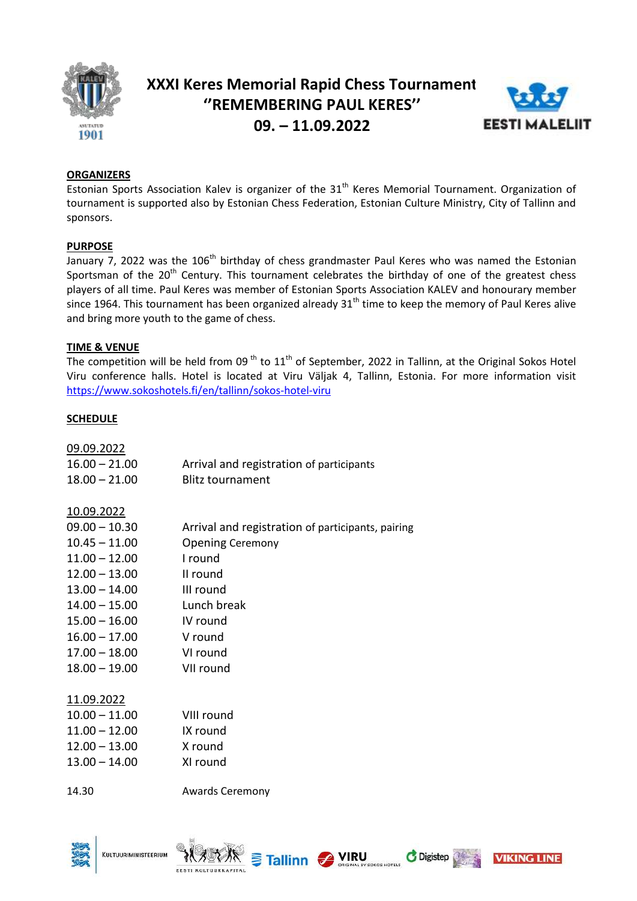

# **XXXI Keres Memorial Rapid Chess Tournament ''REMEMBERING PAUL KERES'' 09. – 11.09.2022**



# **ORGANIZERS**

Estonian Sports Association Kalev is organizer of the 31<sup>th</sup> Keres Memorial Tournament. Organization of tournament is supported also by Estonian Chess Federation, Estonian Culture Ministry, City of Tallinn and sponsors.

# **PURPOSE**

 $\overline{J}$  January 7, 2022 was the 106<sup>th</sup> birthday of chess grandmaster Paul Keres who was named the Estonian Sportsman of the  $20<sup>th</sup>$  Century. This tournament celebrates the birthday of one of the greatest chess players of all time. Paul Keres was member of Estonian Sports Association KALEV and honourary member since 1964. This tournament has been organized already 31<sup>th</sup> time to keep the memory of Paul Keres alive and bring more youth to the game of chess.

#### **TIME & VENUE**

The competition will be held from 09<sup>th</sup> to  $11<sup>th</sup>$  of September, 2022 in Tallinn, at the Original Sokos Hotel Viru conference halls. Hotel is located at Viru Väljak 4, Tallinn, Estonia. For more information visit <https://www.sokoshotels.fi/en/tallinn/sokos-hotel-viru>

# **SCHEDULE**

| 09.09.2022<br>$16.00 - 21.00$<br>$18.00 - 21.00$                                                                                                                                             | Arrival and registration of participants<br><b>Blitz tournament</b>                                                                                                |
|----------------------------------------------------------------------------------------------------------------------------------------------------------------------------------------------|--------------------------------------------------------------------------------------------------------------------------------------------------------------------|
| <u>10.09.2022</u><br>$09.00 - 10.30$<br>$10.45 - 11.00$<br>$11.00 - 12.00$<br>$12.00 - 13.00$<br>$13.00 - 14.00$<br>$14.00 - 15.00$<br>$15.00 - 16.00$<br>$16.00 - 17.00$<br>$17.00 - 18.00$ | Arrival and registration of participants, pairing<br><b>Opening Ceremony</b><br>I round<br>II round<br>III round<br>Lunch break<br>IV round<br>V round<br>VI round |
| $18.00 - 19.00$                                                                                                                                                                              | VII round                                                                                                                                                          |
| 11.09.2022<br>$10.00 - 11.00$<br>$11.00 - 12.00$<br>$12.00 - 13.00$<br>$13.00 - 14.00$                                                                                                       | VIII round<br>IX round<br>X round<br>XI round                                                                                                                      |
| 14.30                                                                                                                                                                                        | <b>Awards Ceremony</b>                                                                                                                                             |

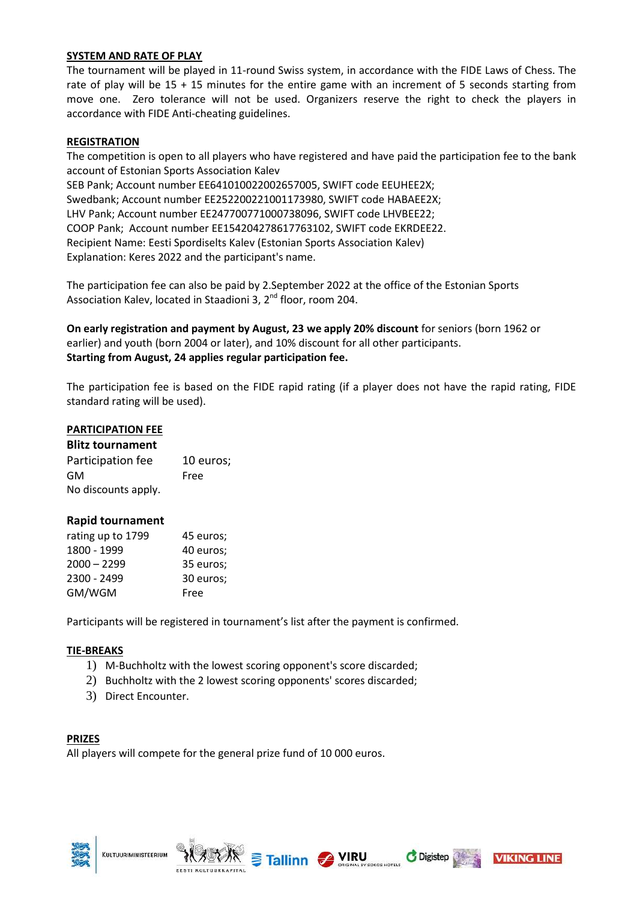# **SYSTEM AND RATE OF PLAY**

The tournament will be played in 11-round Swiss system, in accordance with the FIDE Laws of Chess. The rate of play will be 15 + 15 minutes for the entire game with an increment of 5 seconds starting from move one. Zero tolerance will not be used. Organizers reserve the right to check the players in accordance with FIDE Anti-cheating guidelines.

#### **REGISTRATION**

The competition is open to all players who have registered and have paid the participation fee to the bank account of Estonian Sports Association Kalev SEB Pank; Account number EE641010022002657005, SWIFT code EEUHEE2X; Swedbank; Account number EE252200221001173980, SWIFT code HABAEE2X;

LHV Pank; Account number EE247700771000738096, SWIFT code LHVBEE22; COOP Pank; Account number EE154204278617763102, SWIFT code EKRDEE22. Recipient Name: Eesti Spordiselts Kalev (Estonian Sports Association Kalev) Explanation: Keres 2022 and the participant's name.

The participation fee can also be paid by 2.September 2022 at the office of the Estonian Sports Association Kalev, located in Staadioni 3, 2nd floor, room 204.

**On early registration and payment by August, 23 we apply 20% discount** for seniors (born 1962 or earlier) and youth (born 2004 or later), and 10% discount for all other participants. **Starting from August, 24 applies regular participation fee.**

The participation fee is based on the FIDE rapid rating (if a player does not have the rapid rating, FIDE standard rating will be used).

# **PARTICIPATION FEE**

| <b>Blitz tournament</b> |           |  |
|-------------------------|-----------|--|
| Participation fee       | 10 euros; |  |
| GM                      | Free      |  |
| No discounts apply.     |           |  |

#### **Rapid tournament**

| rating up to 1799 | 45 euros; |
|-------------------|-----------|
| 1800 - 1999       | 40 euros; |
| $2000 - 2299$     | 35 euros; |
| 2300 - 2499       | 30 euros; |
| GM/WGM            | Free      |

Participants will be registered in tournament's list after the payment is confirmed.

#### **TIE-BREAKS**

- 1) M-Buchholtz with the lowest scoring opponent's score discarded;
- 2) Buchholtz with the 2 lowest scoring opponents' scores discarded;
- 3) Direct Encounter.

#### **PRIZES**

All players will compete for the general prize fund of 10 000 euros.